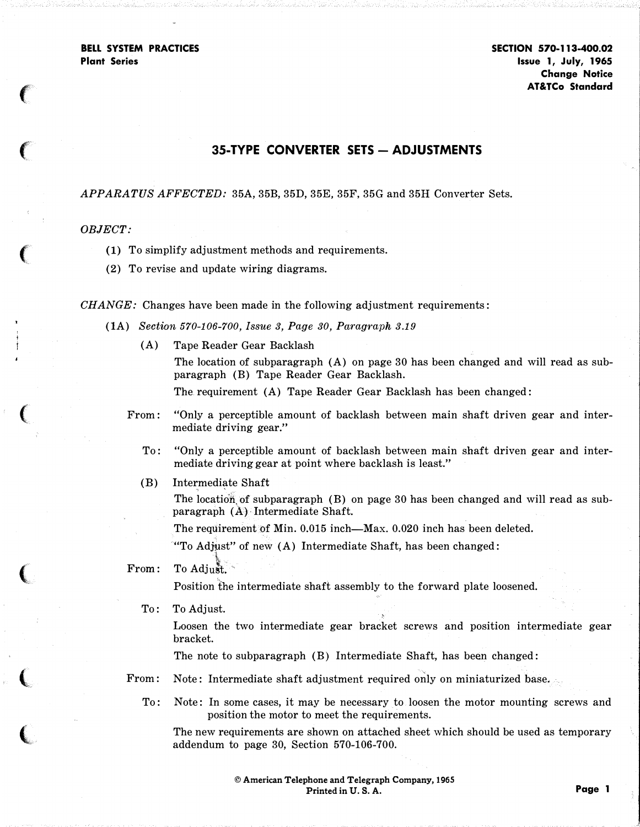BELL SYSTEM PRACTICES Plant Series

SECTION 570-113-400.02 Issue 1, July, 1965 Change Notice AT&TCo Standard

# 35-TYPE CONVERTER SETS - ADJUSTMENTS

APPARATUS AFFECTED: 35A, 35B, 35D, 35E, 35F, 35G and 35H Converter Sets.

OBJECT:

 $\epsilon$ 

 $\epsilon$ 

 $\big($ 

 $\big($ 

 $\big($ 

 $\big($ 

 $\ell$ ',

- (1) To simplify adjustment methods and requirements.
- (2) To revise and update wiring diagrams.

 $CHANGE:$  Changes have been made in the following adjustment requirements:

- (lA) Section 570-106-700, Issue 3, Page 30, Paragraph 3.19
	- (A) Tape Reader Gear Backlash

The location of subparagraph (A) on page 30 has been changed and will read as subparagraph (B) Tape Reader Gear Backlash.

The requirement (A) Tape Reader Gear Backlash has been changed:

- From: "Only a perceptible amount of backlash between main shaft driven gear and intermediate driving gear."
	- To: "Only a perceptible amount of backlash between main shaft driven gear and intermediate driving gear at point where backlash is least."
	- (B) Intermediate Shaft

 $\epsilon$ 

The location of subparagraph  $(B)$  on page 30 has been changed and will read as subparagraph (A) Intermediate Shaft.

The requirement of Min. 0.015 inch—Max. 0.020 inch has been deleted.

"To Adjust" of new  $(A)$  Intermediate Shaft, has been changed:

From: To Adjust.

Position the intermediate shaft assembly to the forward plate loosened.

To: To Adjust.

Loosen the two intermediate gear bracket screws and position intermediate gear bracket.

The note to subparagraph (B) Intermediate Shaft, has been changed:

- From: Note: Intermediate shaft adjustment required only on miniaturized base.
	- To: Note: In some cases, it may be necessary to loosen the motor mounting screws and position the motor to meet the requirements.

The new requirements are shown on attached sheet which should be used as temporary addendum to page 30, Section 570-106-700.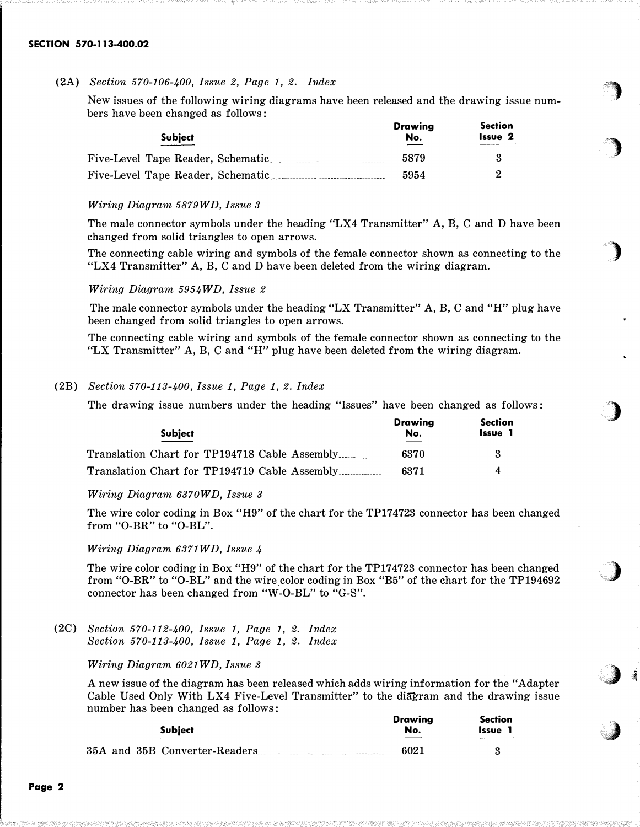## (2A) Section 570-106-400, Issue 2, Page 1, 2. Index

New issues of the following wiring diagrams have been released and the drawing issue numbers have been changed as follows:

 $\overline{\mathbf{y}}$ 

l

)

**)** 

and **J** 

\ . '.1

| Subject                            | <b>Drawina</b><br>No. | <b>Section</b><br><b>Issue 2</b> |
|------------------------------------|-----------------------|----------------------------------|
|                                    |                       |                                  |
| Five-Level Tape Reader, Schematic  | 5879                  |                                  |
| Five-Level Tape Reader, Schematic. | 5954                  |                                  |

### Wiring Diagram 5879WD, Issue 3

The male connector symbols under the heading "LX4 Transmitter" A, B, C and D have been changed from solid triangles to open arrows.

The connecting cable wiring and symbols of the female connector shown as connecting to the "LX4 Transmitter" A, B, C and D have been deleted from the wiring diagram.

# Wiring Diagram 5954WD, Issue 2

The male connector symbols under the heading "LX Transmitter" A, B, C and "H" plug have been changed from solid triangles to open arrows.

The connecting cable wiring and symbols of the female connector shown as connecting to the "LX Transmitter" A, B, C and "H" plug have been deleted from the wiring diagram.

# (2B) Section 570-113-400, Issue 1, Page 1, 2. Index

The drawing issue numbers under the heading "Issues" have been changed as follows:

| Subject                                       | Drawina<br>No. | <b>Section</b><br><b>Issue</b> 1 |
|-----------------------------------------------|----------------|----------------------------------|
|                                               | 6370           | 3                                |
| Translation Chart for TP194719 Cable Assembly | 6371           |                                  |

Wiring Diagram 6370WD, Issue 3

The wire color coding in Box "H9" of the chart for the TP174723 connector has been changed from "0-BR" to "0-BL".

Wiring Diagram 6371WD, Issue 4

The wire color coding in Box "H9" of the chart for the TP174723 connector has been changed from "O-BR" to "O-BL" and the wire color coding in Box "B5" of the chart for the TP194692 connector has been changed from "W-0-BL" to "G-S".

(2C) Section 570-112-400, Issue 1, Page 1, 2. Index Section 570-113-400, Issue 1, Page 1, 2. Index

### Wiring Diagram 6021WD, Issue 3

A new issue of the diagram has been released which adds wiring information for the "Adapter Cable Used Only With LX4 Five-Level Transmitter" to the diagram and the drawing issue number has been changed as follows:

| <b>Subiect</b> |  | <b>Drawina</b><br>No.<br>$ -$ | <b>Section</b><br>Issue 1 |  |
|----------------|--|-------------------------------|---------------------------|--|
|                |  | 35A and 35B Converter-Readers | 6021                      |  |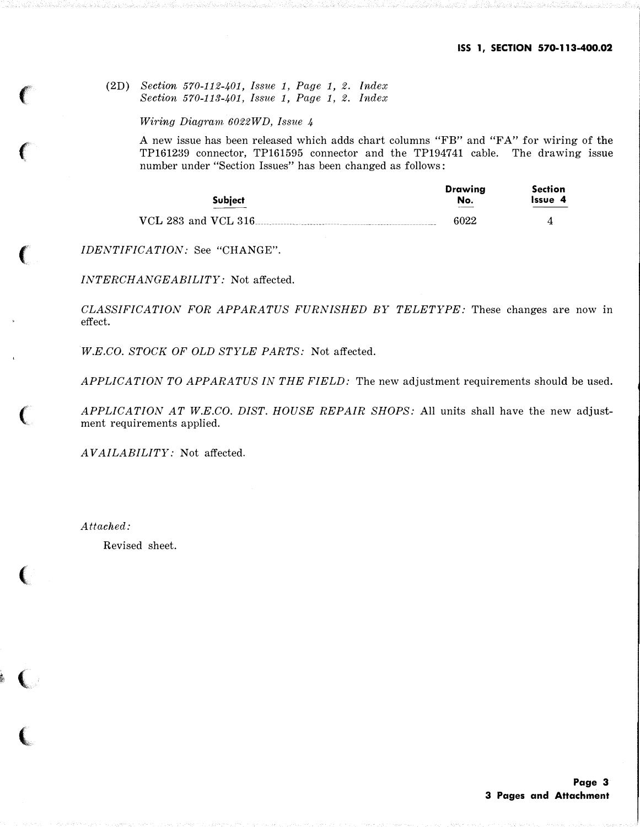(2D) Section 570-112-401, Issue 1, Page 1, 2. lndex Section 570-113-401, Issue 1, Page 1, 2. Index

Wiring Diagram 6022WD, Issue 4

A new issue has been released which adds chart columns "FB" and "FA" for wiring of the TP161239 connector, TP161595 connector and the TP194741 cable. The drawing issue number under "Section Issues" has been changed as follows:

| <b>Subject</b>      | Drawing<br>No.<br>$\overline{\phantom{a}}$ | <b>Section</b><br>Issue 4 |
|---------------------|--------------------------------------------|---------------------------|
| VCL 283 and VCL 316 | 6022                                       |                           |

IDENTIFICATION: See "CHANGE".

INTERCHANGEABILITY: Not affected.

CLASSIFICATION FOR APPARATUS FURNISHED BY TELETYPE: These changes are now in effect.

W.E.CO. STOCK OF OLD STYLE PARTS: Not affected.

APPLICATION TO APPARATUS IN THE FIELD: The new adjustment requirements should be used.

APPLICATION AT W.E.CO. DIST. HOUSE REPAIR SHOPS: All units shall have the new adjustment requirements applied.

AVAILABILITY: Not affected.

Attached:

(1982) 120-2012

Revised sheet.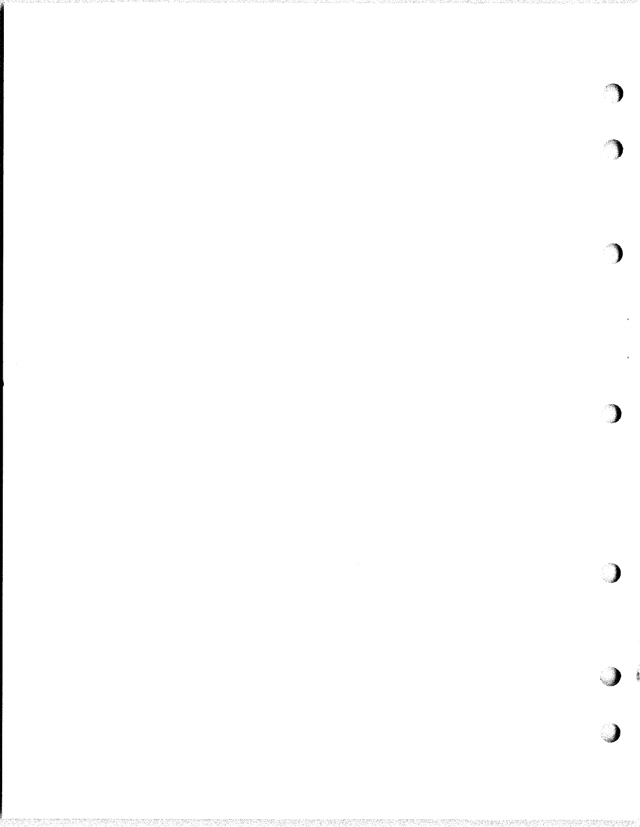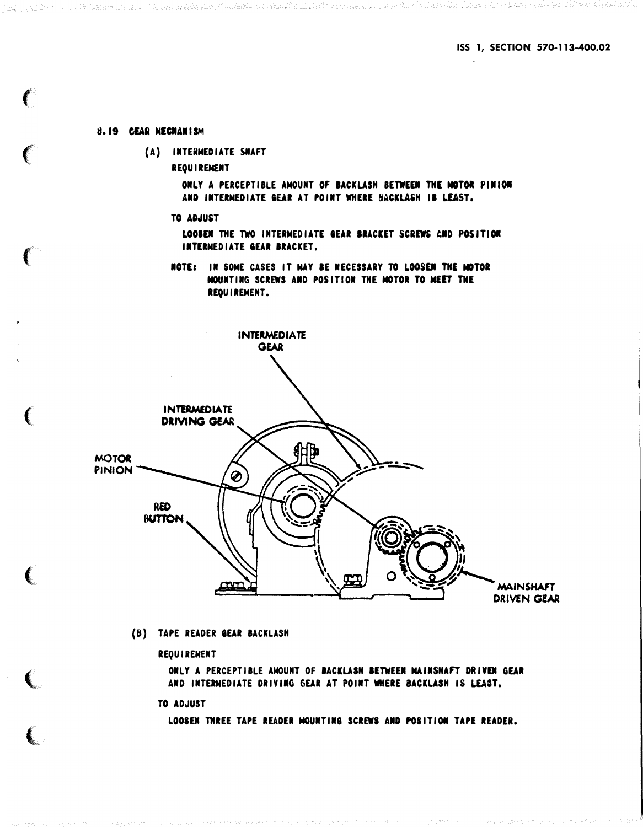#### 8.19 CEAR NECHANISM

- (A) INTERMEDIATE SHAFT
	- **REQUIREMENT**

ONLY A PERCEPTIBLE AMOUNT OF BACKLASH BETWEEN THE MOTOR PINION AND INTERMEDIATE GEAR AT POINT WHERE HACKLASH IN LEAST.

TO ADJUST

LOOSEN THE TWO INTERMEDIATE GEAR SRACKET SCREWS AND POSITION INTERMEDIATE GEAR BRACKET.

NOTE: IN SOME CASES IT MAY BE NECESSARY TO LOOSEN THE MOTOR MOUNTING SCREWS AND POSITION THE MOTOR TO MEET THE REQUIREMENT.



(B) TAPE READER GEAR BACKLASH

# **REQUIREMENT**

ONLY A PERCEPTIBLE AMOUNT OF BACKLASH BETWEEN MAINSHAFT DRIVEN GEAR AND INTERMEDIATE DRIVING GEAR AT POINT WHERE BACKLASH IS LEAST.

### TO ADJUST

LOOSEN THREE TAPE READER MOUNTING SCREWS AND POSITION TAPE READER.